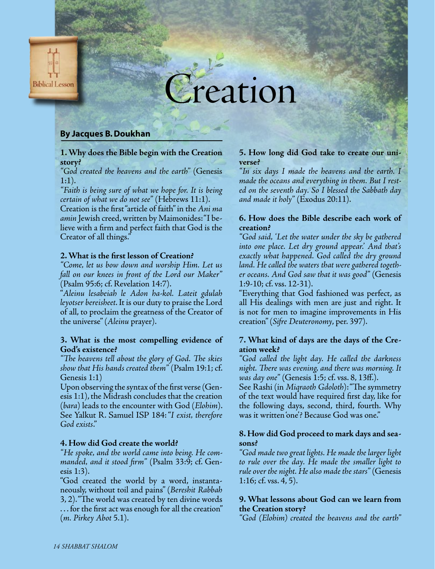

# reation

# **By Jacques B. Doukhan**

**1. Why does the Bible begin with the Creation story?**

*"God created the heavens and the earth"* (Genesis 1:1).

*"Faith is being sure of what we hope for. It is being certain of what we do not see"* (Hebrews 11:1). Creation is the first"article of faith"in the *Ani ma*  amin Jewish creed, written by Maimonides: "I believe with a firm and perfect faith that God is the Creator of all things."

#### **2. What is the first lesson of Creation?**

*"Come, let us bow down and worship Him. Let us fall on our knees in front of the Lord our Maker"*  (Psalm 95:6; cf. Revelation 14:7).

"*Aleinu lesabeiah le Adon ha-kol. Lateit gdulah leyotser bereisheet*.It is our duty to praisethe Lord of all, to proclaim the greatness of the Creator of the universe"(*Aleinu* prayer).

#### **3. What is the most compelling evidence of God's existence?**

*"The heavens tell about the glory of God. The skies show that His hands created them"* (Psalm 19:1;cf. Genesis 1:1)

Upon observing the syntax of the first verse (Genesis  $1:1$ ), the Midrash concludes that the creation (*bara*) leads to the encounter with God (*Elohim*). See Yalkut R. Samuel ISP 184:"*I exist, therefore God exists*."

# **4. How did God create the world?**

*"He spoke, and the world came into being. He commanded, and it stood firm"* (Psalm 33:9; cf. Genesis 1:3).

"God created the world by a word, instantaneously, without toil and pains" (*Bereshit Rabbah*  3, 2)."The world was created by ten divine words  $\ldots$  for the first act was enough for all the creation"

(*m. Pirkey Abot* 5.1).

#### **5. How long did God take to create our universe?**

*"In six days I made the heavens and the earth. I made the oceans and everything in them. But I rested on the seventh day. So I blessed the Sabbath day and made it holy"* (Exodus 20:11).

# **6. How does the Bible describe each work of creation?**

*"God said, 'Let the water under the sky be gathered into one place. Let dry ground appear.' And that's exactly what happened. God called the dry ground land. He called the waters that were gathered together oceans. And God saw that it was good"* (Genesis 1:9-10; cf. vss. 12-31).

"Everything that God fashioned was perfect, as all His dealings with men are just and right. It is not for men to imagine improvements in His creation"(*Sifre Deuteronomy*, per. 397).

# **7. What kind of days are the days of the Creation week?**

*"God called the light day. He called the darkness night. There was evening, and there was morning. It was day one"* (Genesis 1:5; cf. vss. 8, 13ff.).

See Rashi (in *Miqraoth Gdoloth*):"The symmetry of the text would have required first day, like for the following days, second, third, fourth. Why was it written'one'? Because God was one."

# **8. How did God proceed to mark days and seasons?**

*"God made two great lights. He made the larger light to rule over the day. He made the smaller light to rule over the night. He also made the stars"* (Genesis 1:16; cf. vss. 4, 5).

# **9. What lessons about God can we learn from the Creation story?**

*"God (Elohim) created the heavens and the earth"*